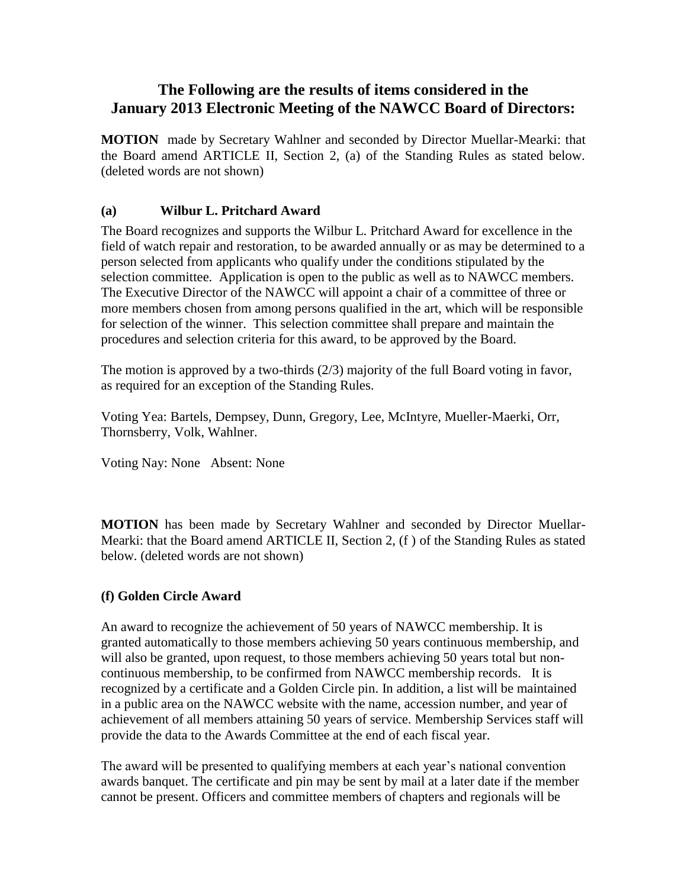## **The Following are the results of items considered in the January 2013 Electronic Meeting of the NAWCC Board of Directors:**

**MOTION** made by Secretary Wahlner and seconded by Director Muellar-Mearki: that the Board amend ARTICLE II, Section 2, (a) of the Standing Rules as stated below. (deleted words are not shown)

## **(a) Wilbur L. Pritchard Award**

The Board recognizes and supports the Wilbur L. Pritchard Award for excellence in the field of watch repair and restoration, to be awarded annually or as may be determined to a person selected from applicants who qualify under the conditions stipulated by the selection committee. Application is open to the public as well as to NAWCC members. The Executive Director of the NAWCC will appoint a chair of a committee of three or more members chosen from among persons qualified in the art, which will be responsible for selection of the winner. This selection committee shall prepare and maintain the procedures and selection criteria for this award, to be approved by the Board.

The motion is approved by a two-thirds (2/3) majority of the full Board voting in favor, as required for an exception of the Standing Rules.

Voting Yea: Bartels, Dempsey, Dunn, Gregory, Lee, McIntyre, Mueller-Maerki, Orr, Thornsberry, Volk, Wahlner.

Voting Nay: None Absent: None

**MOTION** has been made by Secretary Wahlner and seconded by Director Muellar-Mearki: that the Board amend ARTICLE II, Section 2, (f ) of the Standing Rules as stated below. (deleted words are not shown)

## **(f) Golden Circle Award**

An award to recognize the achievement of 50 years of NAWCC membership. It is granted automatically to those members achieving 50 years continuous membership, and will also be granted, upon request, to those members achieving 50 years total but noncontinuous membership, to be confirmed from NAWCC membership records. It is recognized by a certificate and a Golden Circle pin. In addition, a list will be maintained in a public area on the NAWCC website with the name, accession number, and year of achievement of all members attaining 50 years of service. Membership Services staff will provide the data to the Awards Committee at the end of each fiscal year.

The award will be presented to qualifying members at each year's national convention awards banquet. The certificate and pin may be sent by mail at a later date if the member cannot be present. Officers and committee members of chapters and regionals will be